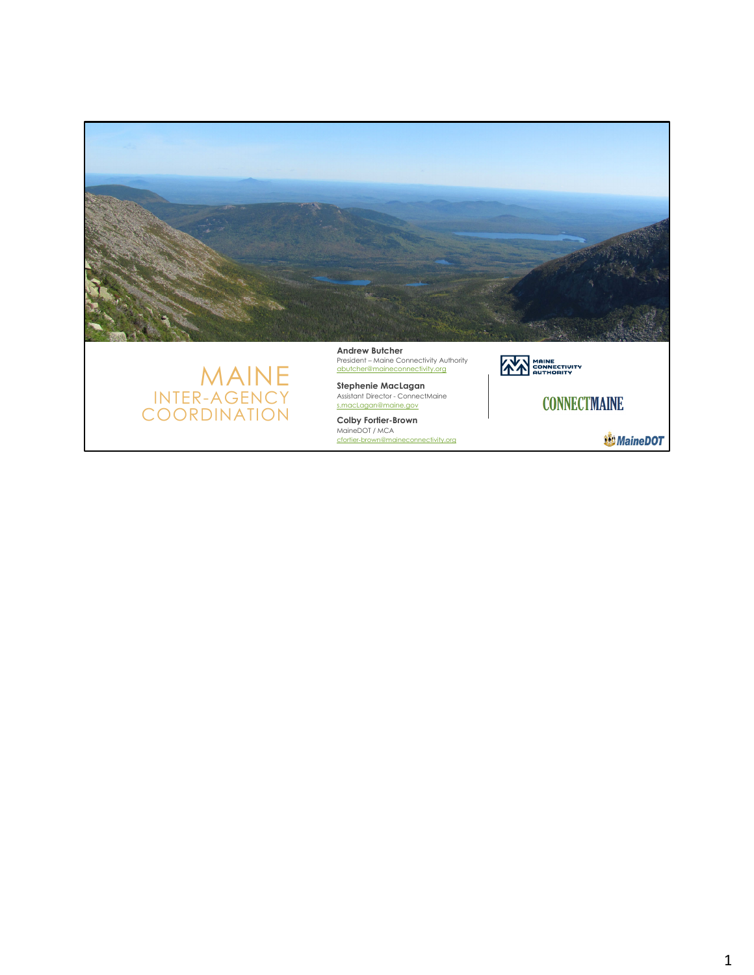



**Andrew Butcher** President – Maine Connectivity Authority abutcher@maineconnectivity.org

**Stephenie MacLagan**  Assistant Director - ConnectMaine s.macLagan@maine.gov

**AND MAINE**<br> **AND CONNECTIVITY CONNECTMAINE** 

MaineDOT / MCA<br>cfortier-brown@maineconnectivity.org

**W**MaineDOT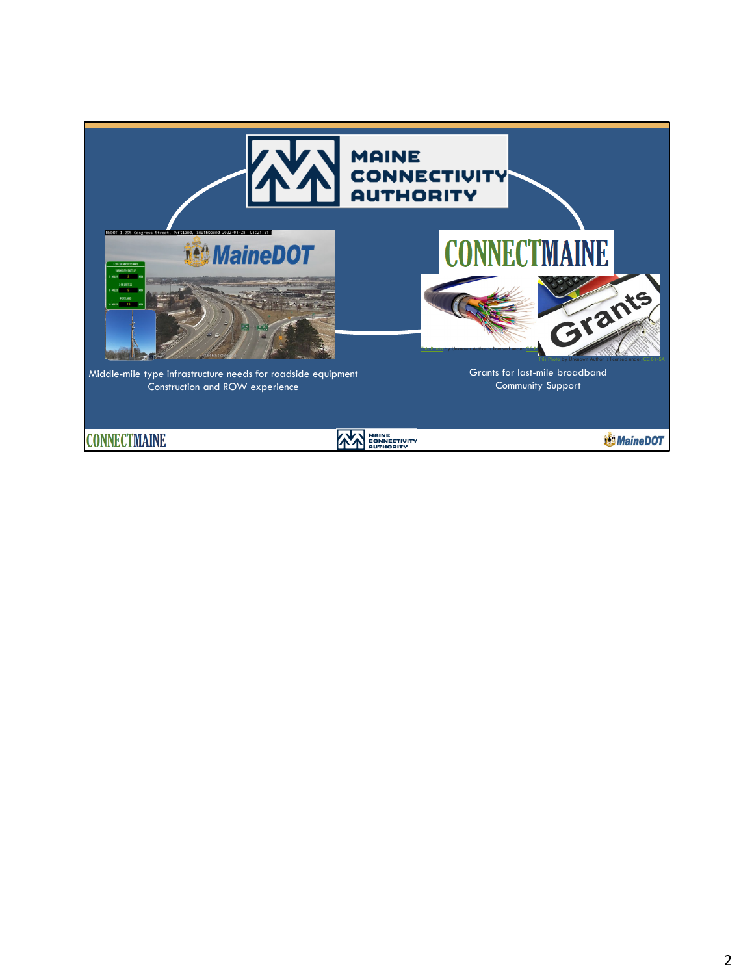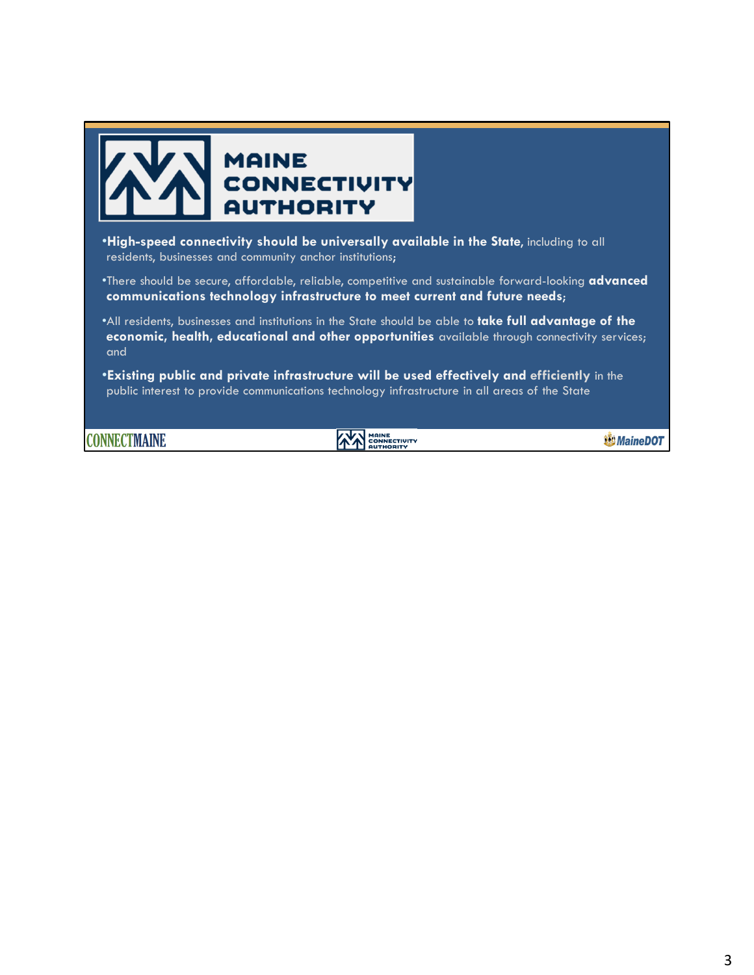

•There should be secure, affordable, reliable, competitive and sustainable forward-looking **advanced communications technology infrastructure to meet current and future needs**;

•All residents, businesses and institutions in the State should be able to **take full advantage of the economic, health, educational and other opportunities** available through connectivity services; and

•**Existing public and private infrastructure will be used effectively and efficiently** in the public interest to provide communications technology infrastructure in all areas of the State

**CONNECTMAINE** 

**EXAMPLE CONNECTIVITY** 

**WMaineDOT**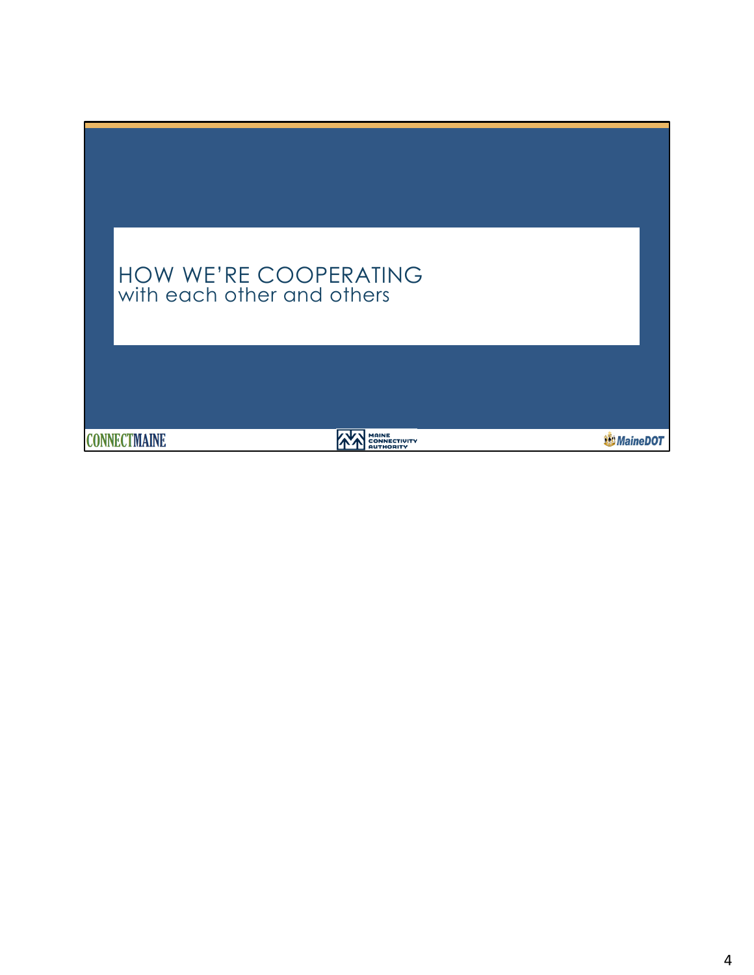| HOW WE'RE COOPERATING<br>with each other and others                            |                  |
|--------------------------------------------------------------------------------|------------------|
| <b>MAINE</b><br><b>CONNECTMAINE</b><br><b>CONNECTIVITY</b><br><b>AUTHORITY</b> | <b>錢MaineDOT</b> |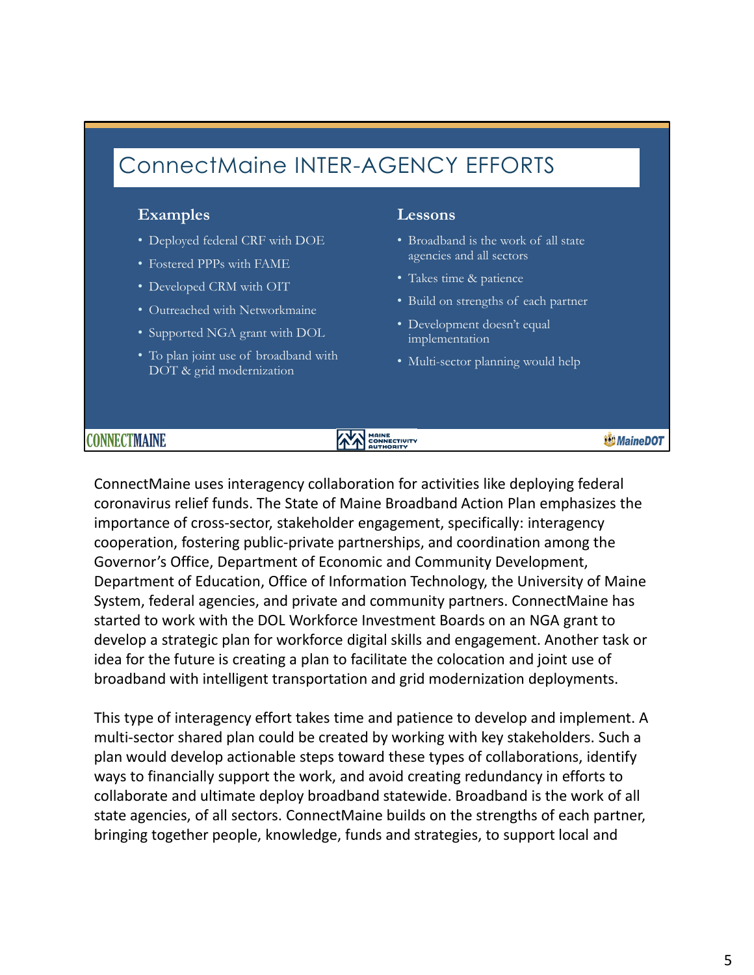## ConnectMaine INTER-AGENCY EFFORTS

### **Examples Lessons**

- Deployed federal CRF with DOE
- Fostered PPPs with FAME
- Developed CRM with OIT
- Outreached with Networkmaine
- Supported NGA grant with DOL
- To plan joint use of broadband with DOT & grid modernization

- Broadband is the work of all state agencies and all sectors
- Takes time & patience
- Build on strengths of each partner
- Development doesn't equal implementation
- Multi-sector planning would help

### CONNECTMAINE

## **AN MAINE**

**WMaineDOT** 

ConnectMaine uses interagency collaboration for activities like deploying federal coronavirus relief funds. The State of Maine Broadband Action Plan emphasizes the importance of cross‐sector, stakeholder engagement, specifically: interagency cooperation, fostering public‐private partnerships, and coordination among the Governor's Office, Department of Economic and Community Development, Department of Education, Office of Information Technology, the University of Maine System, federal agencies, and private and community partners. ConnectMaine has started to work with the DOL Workforce Investment Boards on an NGA grant to develop a strategic plan for workforce digital skills and engagement. Another task or idea for the future is creating a plan to facilitate the colocation and joint use of broadband with intelligent transportation and grid modernization deployments.

This type of interagency effort takes time and patience to develop and implement. A multi-sector shared plan could be created by working with key stakeholders. Such a plan would develop actionable steps toward these types of collaborations, identify ways to financially support the work, and avoid creating redundancy in efforts to collaborate and ultimate deploy broadband statewide. Broadband is the work of all state agencies, of all sectors. ConnectMaine builds on the strengths of each partner, bringing together people, knowledge, funds and strategies, to support local and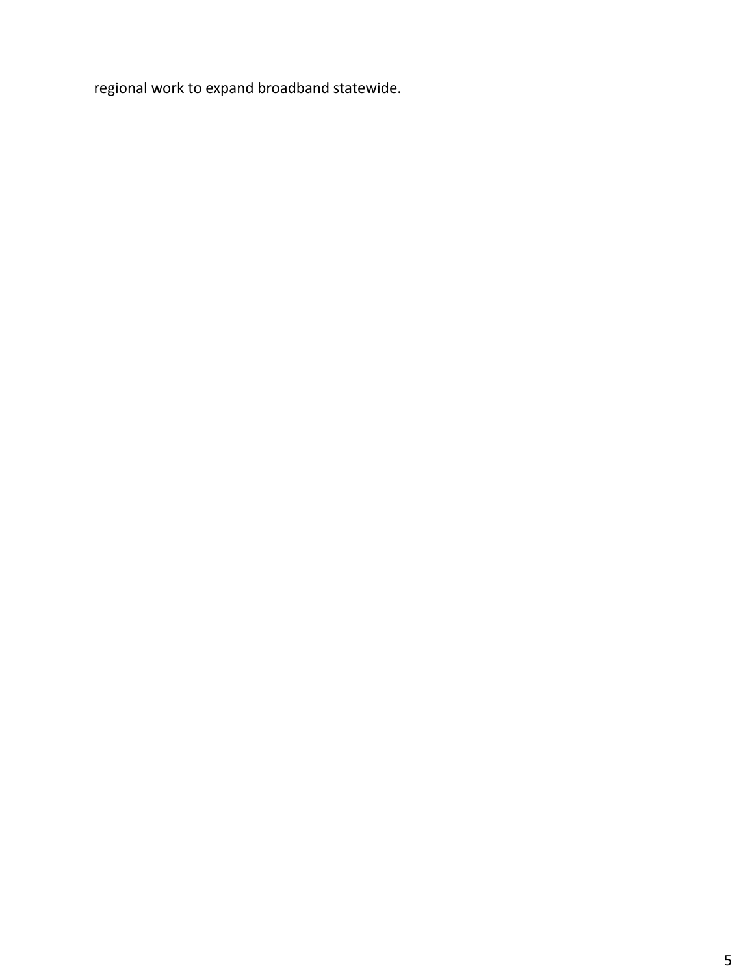regional work to expand broadband statewide.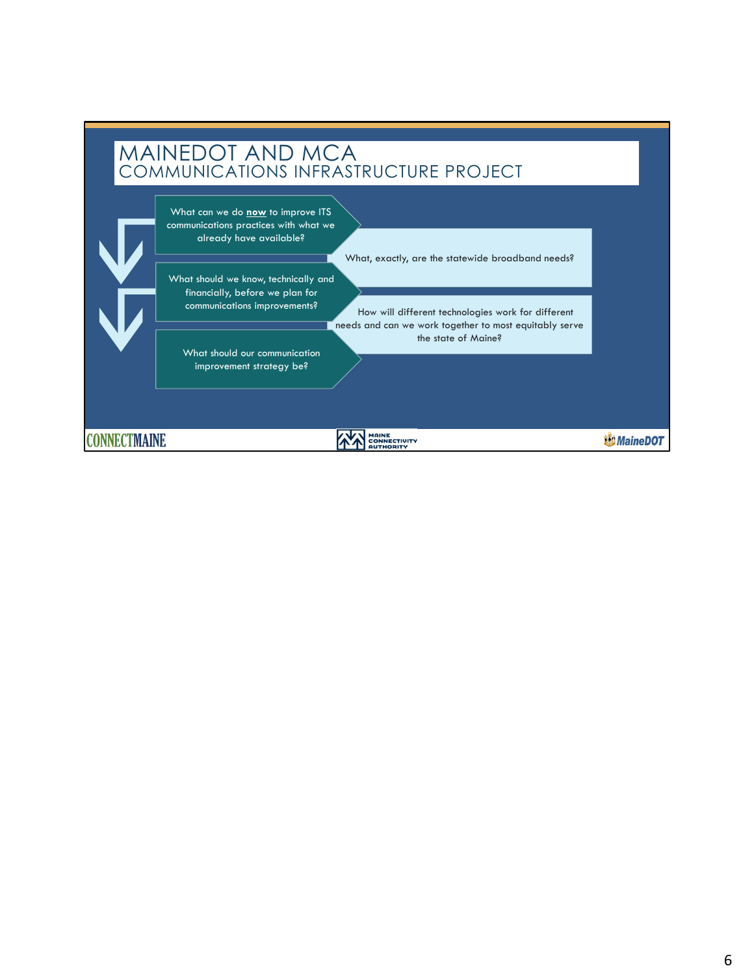